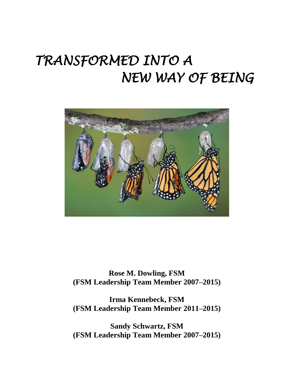# *TRANSFORMED INTO A NEW WAY OF BEING*



**Rose M. Dowling, FSM (FSM Leadership Team Member 2007–2015)**

**Irma Kennebeck, FSM (FSM Leadership Team Member 2011–2015)**

**Sandy Schwartz, FSM (FSM Leadership Team Member 2007–2015)**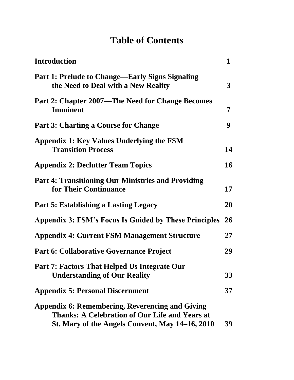# **Table of Contents**

| <b>Introduction</b>                                                                                                                                                | $\mathbf 1$  |
|--------------------------------------------------------------------------------------------------------------------------------------------------------------------|--------------|
| <b>Part 1: Prelude to Change—Early Signs Signaling</b><br>the Need to Deal with a New Reality                                                                      | $\mathbf{3}$ |
| Part 2: Chapter 2007—The Need for Change Becomes<br><b>Imminent</b>                                                                                                | 7            |
| <b>Part 3: Charting a Course for Change</b>                                                                                                                        | 9            |
| Appendix 1: Key Values Underlying the FSM<br><b>Transition Process</b>                                                                                             | 14           |
| <b>Appendix 2: Declutter Team Topics</b>                                                                                                                           | 16           |
| <b>Part 4: Transitioning Our Ministries and Providing</b><br>for Their Continuance                                                                                 | 17           |
| <b>Part 5: Establishing a Lasting Legacy</b>                                                                                                                       | 20           |
| <b>Appendix 3: FSM's Focus Is Guided by These Principles</b>                                                                                                       | <b>26</b>    |
| <b>Appendix 4: Current FSM Management Structure</b>                                                                                                                | 27           |
| <b>Part 6: Collaborative Governance Project</b>                                                                                                                    | 29           |
| Part 7: Factors That Helped Us Integrate Our<br><b>Understanding of Our Reality</b>                                                                                | 33           |
| <b>Appendix 5: Personal Discernment</b>                                                                                                                            | 37           |
| <b>Appendix 6: Remembering, Reverencing and Giving</b><br><b>Thanks: A Celebration of Our Life and Years at</b><br>St. Mary of the Angels Convent, May 14-16, 2010 | 39           |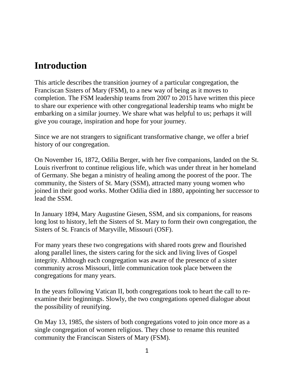# **Introduction**

This article describes the transition journey of a particular congregation, the Franciscan Sisters of Mary (FSM), to a new way of being as it moves to completion. The FSM leadership teams from 2007 to 2015 have written this piece to share our experience with other congregational leadership teams who might be embarking on a similar journey. We share what was helpful to us; perhaps it will give you courage, inspiration and hope for your journey.

Since we are not strangers to significant transformative change, we offer a brief history of our congregation.

On November 16, 1872, Odilia Berger, with her five companions, landed on the St. Louis riverfront to continue religious life, which was under threat in her homeland of Germany. She began a ministry of healing among the poorest of the poor. The community, the Sisters of St. Mary (SSM), attracted many young women who joined in their good works. Mother Odilia died in 1880, appointing her successor to lead the SSM.

In January 1894, Mary Augustine Giesen, SSM, and six companions, for reasons long lost to history, left the Sisters of St. Mary to form their own congregation, the Sisters of St. Francis of Maryville, Missouri (OSF).

For many years these two congregations with shared roots grew and flourished along parallel lines, the sisters caring for the sick and living lives of Gospel integrity. Although each congregation was aware of the presence of a sister community across Missouri, little communication took place between the congregations for many years.

In the years following Vatican II, both congregations took to heart the call to reexamine their beginnings. Slowly, the two congregations opened dialogue about the possibility of reunifying.

On May 13, 1985, the sisters of both congregations voted to join once more as a single congregation of women religious. They chose to rename this reunited community the Franciscan Sisters of Mary (FSM).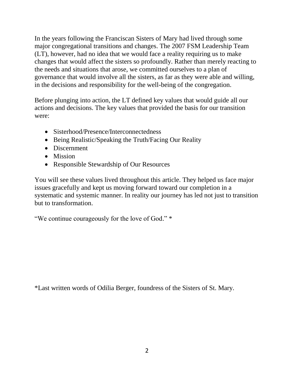In the years following the Franciscan Sisters of Mary had lived through some major congregational transitions and changes. The 2007 FSM Leadership Team (LT), however, had no idea that we would face a reality requiring us to make changes that would affect the sisters so profoundly. Rather than merely reacting to the needs and situations that arose, we committed ourselves to a plan of governance that would involve all the sisters, as far as they were able and willing, in the decisions and responsibility for the well-being of the congregation.

Before plunging into action, the LT defined key values that would guide all our actions and decisions. The key values that provided the basis for our transition were:

- Sisterhood/Presence/Interconnectedness
- Being Realistic/Speaking the Truth/Facing Our Reality
- Discernment
- Mission
- Responsible Stewardship of Our Resources

You will see these values lived throughout this article. They helped us face major issues gracefully and kept us moving forward toward our completion in a systematic and systemic manner. In reality our journey has led not just to transition but to transformation.

"We continue courageously for the love of God." \*

\*Last written words of Odilia Berger, foundress of the Sisters of St. Mary.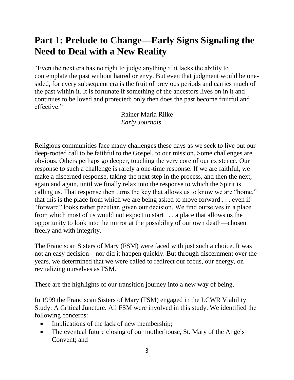# **Part 1: Prelude to Change—Early Signs Signaling the Need to Deal with a New Reality**

"Even the next era has no right to judge anything if it lacks the ability to contemplate the past without hatred or envy. But even that judgment would be onesided, for every subsequent era is the fruit of previous periods and carries much of the past within it. It is fortunate if something of the ancestors lives on in it and continues to be loved and protected; only then does the past become fruitful and effective."

> Rainer Maria Rilke *Early Journals*

Religious communities face many challenges these days as we seek to live out our deep-rooted call to be faithful to the Gospel, to our mission. Some challenges are obvious. Others perhaps go deeper, touching the very core of our existence. Our response to such a challenge is rarely a one-time response. If we are faithful, we make a discerned response, taking the next step in the process, and then the next, again and again, until we finally relax into the response to which the Spirit is calling us. That response then turns the key that allows us to know we are "home," that this is the place from which we are being asked to move forward . . . even if "forward" looks rather peculiar, given our decision. We find ourselves in a place from which most of us would not expect to start . . . a place that allows us the opportunity to look into the mirror at the possibility of our own death—chosen freely and with integrity.

The Franciscan Sisters of Mary (FSM) were faced with just such a choice. It was not an easy decision—nor did it happen quickly. But through discernment over the years, we determined that we were called to redirect our focus, our energy, on revitalizing ourselves as FSM.

These are the highlights of our transition journey into a new way of being.

In 1999 the Franciscan Sisters of Mary (FSM) engaged in the LCWR Viability Study: A Critical Juncture. All FSM were involved in this study. We identified the following concerns:

- Implications of the lack of new membership;
- The eventual future closing of our motherhouse, St. Mary of the Angels Convent; and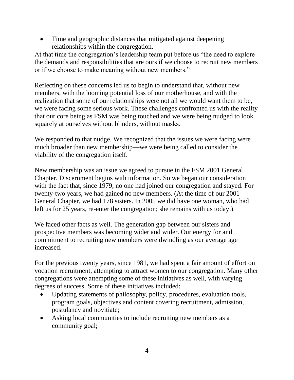• Time and geographic distances that mitigated against deepening relationships within the congregation.

At that time the congregation's leadership team put before us "the need to explore the demands and responsibilities that are ours if we choose to recruit new members or if we choose to make meaning without new members."

Reflecting on these concerns led us to begin to understand that, without new members, with the looming potential loss of our motherhouse, and with the realization that some of our relationships were not all we would want them to be, we were facing some serious work. These challenges confronted us with the reality that our core being as FSM was being touched and we were being nudged to look squarely at ourselves without blinders, without masks.

We responded to that nudge. We recognized that the issues we were facing were much broader than new membership—we were being called to consider the viability of the congregation itself.

New membership was an issue we agreed to pursue in the FSM 2001 General Chapter. Discernment begins with information. So we began our consideration with the fact that, since 1979, no one had joined our congregation and stayed. For twenty-two years, we had gained no new members. (At the time of our 2001 General Chapter, we had 178 sisters. In 2005 we did have one woman, who had left us for 25 years, re-enter the congregation; she remains with us today.)

We faced other facts as well. The generation gap between our sisters and prospective members was becoming wider and wider. Our energy for and commitment to recruiting new members were dwindling as our average age increased.

For the previous twenty years, since 1981, we had spent a fair amount of effort on vocation recruitment, attempting to attract women to our congregation. Many other congregations were attempting some of these initiatives as well, with varying degrees of success. Some of these initiatives included:

- Updating statements of philosophy, policy, procedures, evaluation tools, program goals, objectives and content covering recruitment, admission, postulancy and novitiate;
- Asking local communities to include recruiting new members as a community goal;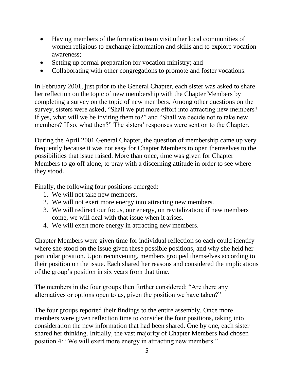- Having members of the formation team visit other local communities of women religious to exchange information and skills and to explore vocation awareness;
- Setting up formal preparation for vocation ministry; and
- Collaborating with other congregations to promote and foster vocations.

In February 2001, just prior to the General Chapter, each sister was asked to share her reflection on the topic of new membership with the Chapter Members by completing a survey on the topic of new members. Among other questions on the survey, sisters were asked, "Shall we put more effort into attracting new members? If yes, what will we be inviting them to?" and "Shall we decide not to take new members? If so, what then?" The sisters' responses were sent on to the Chapter.

During the April 2001 General Chapter, the question of membership came up very frequently because it was not easy for Chapter Members to open themselves to the possibilities that issue raised. More than once, time was given for Chapter Members to go off alone, to pray with a discerning attitude in order to see where they stood.

Finally, the following four positions emerged:

- 1. We will not take new members.
- 2. We will not exert more energy into attracting new members.
- 3. We will redirect our focus, our energy, on revitalization; if new members come, we will deal with that issue when it arises.
- 4. We will exert more energy in attracting new members.

Chapter Members were given time for individual reflection so each could identify where she stood on the issue given these possible positions, and why she held her particular position. Upon reconvening, members grouped themselves according to their position on the issue. Each shared her reasons and considered the implications of the group's position in six years from that time.

The members in the four groups then further considered: "Are there any alternatives or options open to us, given the position we have taken?"

The four groups reported their findings to the entire assembly. Once more members were given reflection time to consider the four positions, taking into consideration the new information that had been shared. One by one, each sister shared her thinking. Initially, the vast majority of Chapter Members had chosen position 4: "We will exert more energy in attracting new members."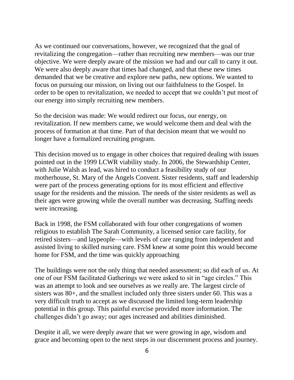As we continued our conversations, however, we recognized that the goal of revitalizing the congregation—rather than recruiting new members—was our true objective. We were deeply aware of the mission we had and our call to carry it out. We were also deeply aware that times had changed, and that these new times demanded that we be creative and explore new paths, new options. We wanted to focus on pursuing our mission, on living out our faithfulness to the Gospel. In order to be open to revitalization, we needed to accept that we couldn't put most of our energy into simply recruiting new members.

So the decision was made: We would redirect our focus, our energy, on revitalization. If new members came, we would welcome them and deal with the process of formation at that time. Part of that decision meant that we would no longer have a formalized recruiting program.

This decision moved us to engage in other choices that required dealing with issues pointed out in the 1999 LCWR viability study. In 2006, the Stewardship Center, with Julie Walsh as lead, was hired to conduct a feasibility study of our motherhouse, St. Mary of the Angels Convent. Sister residents, staff and leadership were part of the process generating options for its most efficient and effective usage for the residents and the mission. The needs of the sister residents as well as their ages were growing while the overall number was decreasing. Staffing needs were increasing.

Back in 1998, the FSM collaborated with four other congregations of women religious to establish The Sarah Community, a licensed senior care facility, for retired sisters—and laypeople—with levels of care ranging from independent and assisted living to skilled nursing care. FSM knew at some point this would become home for FSM, and the time was quickly approaching

The buildings were not the only thing that needed assessment; so did each of us. At one of our FSM facilitated Gatherings we were asked to sit in "age circles." This was an attempt to look and see ourselves as we really are. The largest circle of sisters was 80+, and the smallest included only three sisters under 60. This was a very difficult truth to accept as we discussed the limited long-term leadership potential in this group. This painful exercise provided more information. The challenges didn't go away; our ages increased and abilities diminished.

Despite it all, we were deeply aware that we were growing in age, wisdom and grace and becoming open to the next steps in our discernment process and journey.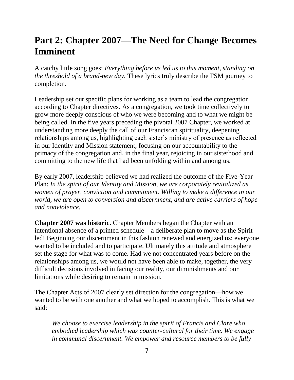# **Part 2: Chapter 2007—The Need for Change Becomes Imminent**

A catchy little song goes: *Everything before us led us to this moment, standing on the threshold of a brand-new day.* These lyrics truly describe the FSM journey to completion.

Leadership set out specific plans for working as a team to lead the congregation according to Chapter directives. As a congregation, we took time collectively to grow more deeply conscious of who we were becoming and to what we might be being called. In the five years preceding the pivotal 2007 Chapter, we worked at understanding more deeply the call of our Franciscan spirituality, deepening relationships among us, highlighting each sister's ministry of presence as reflected in our Identity and Mission statement, focusing on our accountability to the primacy of the congregation and, in the final year, rejoicing in our sisterhood and committing to the new life that had been unfolding within and among us.

By early 2007, leadership believed we had realized the outcome of the Five-Year Plan: *In the spirit of our Identity and Mission, we are corporately revitalized as women of prayer, conviction and commitment. Willing to make a difference in our world, we are open to conversion and discernment, and are active carriers of hope and nonviolence.*

**Chapter 2007 was historic.** Chapter Members began the Chapter with an intentional absence of a printed schedule—a deliberate plan to move as the Spirit led! Beginning our discernment in this fashion renewed and energized us; everyone wanted to be included and to participate. Ultimately this attitude and atmosphere set the stage for what was to come. Had we not concentrated years before on the relationships among us, we would not have been able to make, together, the very difficult decisions involved in facing our reality, our diminishments and our limitations while desiring to remain in mission.

The Chapter Acts of 2007 clearly set direction for the congregation—how we wanted to be with one another and what we hoped to accomplish. This is what we said:

*We choose to exercise leadership in the spirit of Francis and Clare who embodied leadership which was counter-cultural for their time. We engage in communal discernment. We empower and resource members to be fully*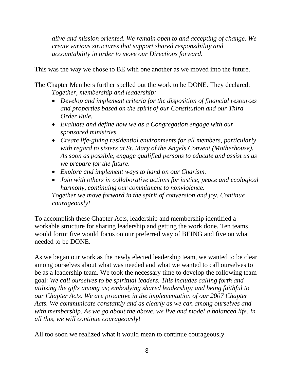*alive and mission oriented. We remain open to and accepting of change. We create various structures that support shared responsibility and accountability in order to move our Directions forward.*

This was the way we chose to BE with one another as we moved into the future.

The Chapter Members further spelled out the work to be DONE. They declared: *Together, membership and leadership:*

- *Develop and implement criteria for the disposition of financial resources and properties based on the spirit of our Constitution and our Third Order Rule.*
- *Evaluate and define how we as a Congregation engage with our sponsored ministries.*
- *Create life-giving residential environments for all members, particularly with regard to sisters at St. Mary of the Angels Convent (Motherhouse). As soon as possible, engage qualified persons to educate and assist us as we prepare for the future.*
- *Explore and implement ways to hand on our Charism.*
- *Join with others in collaborative actions for justice, peace and ecological harmony, continuing our commitment to nonviolence. Together we move forward in the spirit of conversion and joy. Continue courageously!*

To accomplish these Chapter Acts, leadership and membership identified a workable structure for sharing leadership and getting the work done. Ten teams would form: five would focus on our preferred way of BEING and five on what needed to be DONE.

As we began our work as the newly elected leadership team, we wanted to be clear among ourselves about what was needed and what we wanted to call ourselves to be as a leadership team. We took the necessary time to develop the following team goal: *We call ourselves to be spiritual leaders. This includes calling forth and utilizing the gifts among us; embodying shared leadership; and being faithful to our Chapter Acts. We are proactive in the implementation of our 2007 Chapter Acts. We communicate constantly and as clearly as we can among ourselves and with membership. As we go about the above, we live and model a balanced life. In all this, we will continue courageously!*

All too soon we realized what it would mean to continue courageously.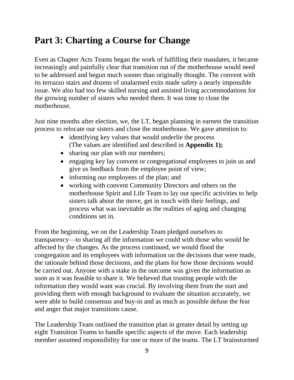# **Part 3: Charting a Course for Change**

Even as Chapter Acts Teams began the work of fulfilling their mandates, it became increasingly and painfully clear that transition out of the motherhouse would need to be addressed and begun much sooner than originally thought. The convent with its terrazzo stairs and dozens of unalarmed exits made safety a nearly impossible issue. We also had too few skilled nursing and assisted living accommodations for the growing number of sisters who needed them. It was time to close the motherhouse.

Just nine months after election, we, the LT, began planning in earnest the transition process to relocate our sisters and close the motherhouse. We gave attention to:

- identifying key values that would underlie the process (The values are identified and described in **Appendix 1);**
- sharing our plan with our members;
- engaging key lay convent or congregational employees to join us and give us feedback from the employee point of view;
- informing our employees of the plan; and
- working with convent Community Directors and others on the motherhouse Spirit and Life Team to lay out specific activities to help sisters talk about the move, get in touch with their feelings, and process what was inevitable as the realities of aging and changing conditions set in.

From the beginning, we on the Leadership Team pledged ourselves to transparency—to sharing all the information we could with those who would be affected by the changes. As the process continued, we would flood the congregation and its employees with information on the decisions that were made, the rationale behind those decisions, and the plans for how those decisions would be carried out. Anyone with a stake in the outcome was given the information as soon as it was feasible to share it. We believed that trusting people with the information they would want was crucial. By involving them from the start and providing them with enough background to evaluate the situation accurately, we were able to build consensus and buy-in and as much as possible defuse the fear and anger that major transitions cause.

The Leadership Team outlined the transition plan in greater detail by setting up eight Transition Teams to handle specific aspects of the move. Each leadership member assumed responsibility for one or more of the teams. The LT brainstormed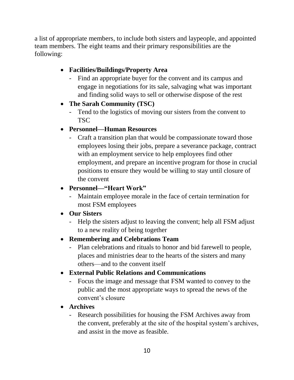a list of appropriate members, to include both sisters and laypeople, and appointed team members. The eight teams and their primary responsibilities are the following:

#### **Facilities/Buildings/Property Area**

- Find an appropriate buyer for the convent and its campus and engage in negotiations for its sale, salvaging what was important and finding solid ways to sell or otherwise dispose of the rest
- **The Sarah Community (TSC)**
	- Tend to the logistics of moving our sisters from the convent to **TSC**

#### **Personnel—Human Resources**

- Craft a transition plan that would be compassionate toward those employees losing their jobs, prepare a severance package, contract with an employment service to help employees find other employment, and prepare an incentive program for those in crucial positions to ensure they would be willing to stay until closure of the convent

#### **Personnel—"Heart Work"**

- Maintain employee morale in the face of certain termination for most FSM employees

#### **Our Sisters**

- Help the sisters adjust to leaving the convent; help all FSM adjust to a new reality of being together

#### **Remembering and Celebrations Team**

- Plan celebrations and rituals to honor and bid farewell to people, places and ministries dear to the hearts of the sisters and many others—and to the convent itself

#### **External Public Relations and Communications**

Focus the image and message that FSM wanted to convey to the public and the most appropriate ways to spread the news of the convent's closure

#### **Archives**

- Research possibilities for housing the FSM Archives away from the convent, preferably at the site of the hospital system's archives, and assist in the move as feasible.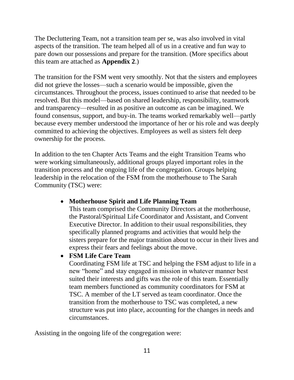The Decluttering Team, not a transition team per se, was also involved in vital aspects of the transition. The team helped all of us in a creative and fun way to pare down our possessions and prepare for the transition. (More specifics about this team are attached as **Appendix 2**.)

The transition for the FSM went very smoothly. Not that the sisters and employees did not grieve the losses—such a scenario would be impossible, given the circumstances. Throughout the process, issues continued to arise that needed to be resolved. But this model—based on shared leadership, responsibility, teamwork and transparency—resulted in as positive an outcome as can be imagined. We found consensus, support, and buy-in. The teams worked remarkably well—partly because every member understood the importance of her or his role and was deeply committed to achieving the objectives. Employees as well as sisters felt deep ownership for the process.

In addition to the ten Chapter Acts Teams and the eight Transition Teams who were working simultaneously, additional groups played important roles in the transition process and the ongoing life of the congregation. Groups helping leadership in the relocation of the FSM from the motherhouse to The Sarah Community (TSC) were:

#### **Motherhouse Spirit and Life Planning Team**

This team comprised the Community Directors at the motherhouse, the Pastoral/Spiritual Life Coordinator and Assistant, and Convent Executive Director. In addition to their usual responsibilities, they specifically planned programs and activities that would help the sisters prepare for the major transition about to occur in their lives and express their fears and feelings about the move.

#### **FSM Life Care Team**

Coordinating FSM life at TSC and helping the FSM adjust to life in a new "home" and stay engaged in mission in whatever manner best suited their interests and gifts was the role of this team. Essentially team members functioned as community coordinators for FSM at TSC. A member of the LT served as team coordinator. Once the transition from the motherhouse to TSC was completed, a new structure was put into place, accounting for the changes in needs and circumstances.

Assisting in the ongoing life of the congregation were: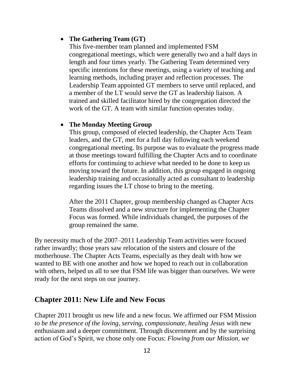#### **The Gathering Team (GT)**

This five-member team planned and implemented FSM congregational meetings, which were generally two and a half days in length and four times yearly. The Gathering Team determined very specific intentions for these meetings, using a variety of teaching and learning methods, including prayer and reflection processes. The Leadership Team appointed GT members to serve until replaced, and a member of the LT would serve the GT as leadership liaison. A trained and skilled facilitator hired by the congregation directed the work of the GT. A team with similar function operates today.

#### **The Monday Meeting Group**

This group, composed of elected leadership, the Chapter Acts Team leaders, and the GT, met for a full day following each weekend congregational meeting. Its purpose was to evaluate the progress made at those meetings toward fulfilling the Chapter Acts and to coordinate efforts for continuing to achieve what needed to be done to keep us moving toward the future. In addition, this group engaged in ongoing leadership training and occasionally acted as consultant to leadership regarding issues the LT chose to bring to the meeting.

After the 2011 Chapter, group membership changed as Chapter Acts Teams dissolved and a new structure for implementing the Chapter Focus was formed. While individuals changed, the purposes of the group remained the same.

By necessity much of the 2007–2011 Leadership Team activities were focused rather inwardly; those years saw relocation of the sisters and closure of the motherhouse. The Chapter Acts Teams, especially as they dealt with how we wanted to BE with one another and how we hoped to reach out in collaboration with others, helped us all to see that FSM life was bigger than ourselves. We were ready for the next steps on our journey.

#### **Chapter 2011: New Life and New Focus**

Chapter 2011 brought us new life and a new focus. We affirmed our FSM Mission *to be the presence of the loving, serving, compassionate, healing Jesus* with new enthusiasm and a deeper commitment. Through discernment and by the surprising action of God's Spirit, we chose only one Focus: *Flowing from our Mission, we*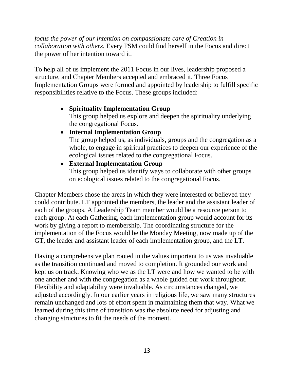*focus the power of our intention on compassionate care of Creation in collaboration with others.* Every FSM could find herself in the Focus and direct the power of her intention toward it.

To help all of us implement the 2011 Focus in our lives, leadership proposed a structure, and Chapter Members accepted and embraced it. Three Focus Implementation Groups were formed and appointed by leadership to fulfill specific responsibilities relative to the Focus. These groups included:

#### **Spirituality Implementation Group**

This group helped us explore and deepen the spirituality underlying the congregational Focus.

**Internal Implementation Group** 

The group helped us, as individuals, groups and the congregation as a whole, to engage in spiritual practices to deepen our experience of the ecological issues related to the congregational Focus.

 **External Implementation Group** This group helped us identify ways to collaborate with other groups on ecological issues related to the congregational Focus.

Chapter Members chose the areas in which they were interested or believed they could contribute. LT appointed the members, the leader and the assistant leader of each of the groups. A Leadership Team member would be a resource person to each group. At each Gathering, each implementation group would account for its work by giving a report to membership. The coordinating structure for the implementation of the Focus would be the Monday Meeting, now made up of the GT, the leader and assistant leader of each implementation group, and the LT.

Having a comprehensive plan rooted in the values important to us was invaluable as the transition continued and moved to completion. It grounded our work and kept us on track. Knowing who we as the LT were and how we wanted to be with one another and with the congregation as a whole guided our work throughout. Flexibility and adaptability were invaluable. As circumstances changed, we adjusted accordingly. In our earlier years in religious life, we saw many structures remain unchanged and lots of effort spent in maintaining them that way. What we learned during this time of transition was the absolute need for adjusting and changing structures to fit the needs of the moment.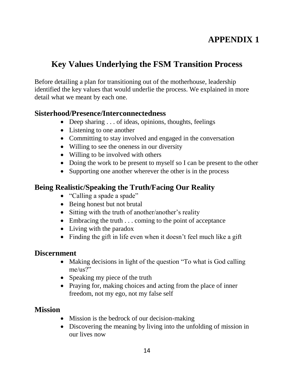# **APPENDIX 1**

# **Key Values Underlying the FSM Transition Process**

Before detailing a plan for transitioning out of the motherhouse, leadership identified the key values that would underlie the process. We explained in more detail what we meant by each one.

#### **Sisterhood/Presence/Interconnectedness**

- Deep sharing . . . of ideas, opinions, thoughts, feelings
- Listening to one another
- Committing to stay involved and engaged in the conversation
- Willing to see the oneness in our diversity
- Willing to be involved with others
- Doing the work to be present to myself so I can be present to the other
- Supporting one another wherever the other is in the process

#### **Being Realistic/Speaking the Truth/Facing Our Reality**

- "Calling a spade a spade"
- Being honest but not brutal
- Sitting with the truth of another/another's reality
- Embracing the truth . . . coming to the point of acceptance
- Living with the paradox
- Finding the gift in life even when it doesn't feel much like a gift

#### **Discernment**

- Making decisions in light of the question "To what is God calling" me/us?"
- Speaking my piece of the truth
- Praying for, making choices and acting from the place of inner freedom, not my ego, not my false self

#### **Mission**

- Mission is the bedrock of our decision-making
- Discovering the meaning by living into the unfolding of mission in our lives now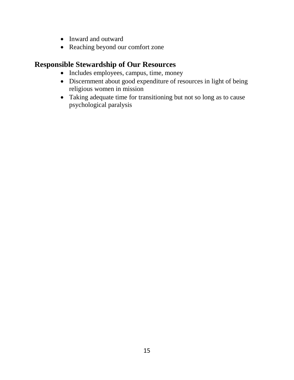- Inward and outward
- Reaching beyond our comfort zone

### **Responsible Stewardship of Our Resources**

- Includes employees, campus, time, money
- Discernment about good expenditure of resources in light of being religious women in mission
- Taking adequate time for transitioning but not so long as to cause psychological paralysis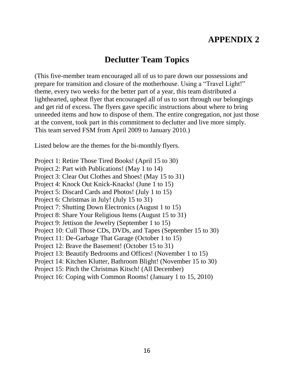# **APPENDIX 2**

### **Declutter Team Topics**

(This five-member team encouraged all of us to pare down our possessions and prepare for transition and closure of the motherhouse. Using a "Travel Light!" theme, every two weeks for the better part of a year, this team distributed a lighthearted, upbeat flyer that encouraged all of us to sort through our belongings and get rid of excess. The flyers gave specific instructions about where to bring unneeded items and how to dispose of them. The entire congregation, not just those at the convent, took part in this commitment to declutter and live more simply. This team served FSM from April 2009 to January 2010.)

Listed below are the themes for the bi-monthly flyers.

- Project 1: Retire Those Tired Books! (April 15 to 30)
- Project 2: Part with Publications! (May 1 to 14)
- Project 3: Clear Out Clothes and Shoes! (May 15 to 31)
- Project 4: Knock Out Knick-Knacks! (June 1 to 15)
- Project 5: Discard Cards and Photos! (July 1 to 15)
- Project 6: Christmas in July! (July 15 to 31)
- Project 7: Shutting Down Electronics (August 1 to 15)
- Project 8: Share Your Religious Items (August 15 to 31)
- Project 9: Jettison the Jewelry (September 1 to 15)
- Project 10: Cull Those CDs, DVDs, and Tapes (September 15 to 30)
- Project 11: De-Garbage That Garage (October 1 to 15)
- Project 12: Brave the Basement! (October 15 to 31)
- Project 13: Beautify Bedrooms and Offices! (November 1 to 15)
- Project 14: Kitchen Klutter, Bathroom Blight! (November 15 to 30)
- Project 15: Pitch the Christmas Kitsch! (All December)
- Project 16: Coping with Common Rooms! (January 1 to 15, 2010)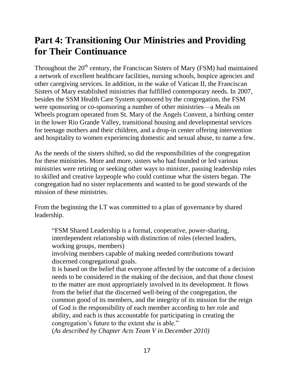# **Part 4: Transitioning Our Ministries and Providing for Their Continuance**

Throughout the  $20<sup>th</sup>$  century, the Franciscan Sisters of Mary (FSM) had maintained a network of excellent healthcare facilities, nursing schools, hospice agencies and other caregiving services. In addition, in the wake of Vatican II, the Franciscan Sisters of Mary established ministries that fulfilled contemporary needs. In 2007, besides the SSM Health Care System sponsored by the congregation, the FSM were sponsoring or co-sponsoring a number of other ministries—a Meals on Wheels program operated from St. Mary of the Angels Convent, a birthing center in the lower Rio Grande Valley, transitional housing and developmental services for teenage mothers and their children, and a drop-in center offering intervention and hospitality to women experiencing domestic and sexual abuse, to name a few.

As the needs of the sisters shifted, so did the responsibilities of the congregation for these ministries. More and more, sisters who had founded or led various ministries were retiring or seeking other ways to minister, passing leadership roles to skilled and creative laypeople who could continue what the sisters began. The congregation had no sister replacements and wanted to be good stewards of the mission of these ministries.

From the beginning the LT was committed to a plan of governance by shared leadership.

"FSM Shared Leadership is a formal, cooperative, power-sharing, interdependent relationship with distinction of roles (elected leaders, working groups, members)

involving members capable of making needed contributions toward discerned congregational goals.

It is based on the belief that everyone affected by the outcome of a decision needs to be considered in the making of the decision, and that those closest to the matter are most appropriately involved in its development. It flows from the belief that the discerned well-being of the congregation, the common good of its members, and the integrity of its mission for the reign of God is the responsibility of each member according to her role and ability, and each is thus accountable for participating in creating the congregation's future to the extent she is able."

(*As described by Chapter Acts Team V in December 2010)*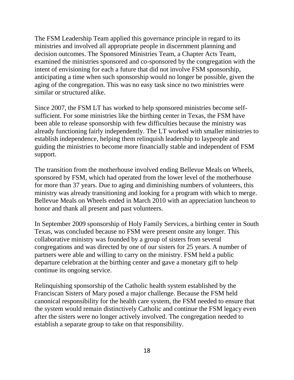The FSM Leadership Team applied this governance principle in regard to its ministries and involved all appropriate people in discernment planning and decision outcomes. The Sponsored Ministries Team, a Chapter Acts Team, examined the ministries sponsored and co-sponsored by the congregation with the intent of envisioning for each a future that did not involve FSM sponsorship, anticipating a time when such sponsorship would no longer be possible, given the aging of the congregation. This was no easy task since no two ministries were similar or structured alike.

Since 2007, the FSM LT has worked to help sponsored ministries become selfsufficient. For some ministries like the birthing center in Texas, the FSM have been able to release sponsorship with few difficulties because the ministry was already functioning fairly independently. The LT worked with smaller ministries to establish independence, helping them relinquish leadership to laypeople and guiding the ministries to become more financially stable and independent of FSM support.

The transition from the motherhouse involved ending Bellevue Meals on Wheels, sponsored by FSM, which had operated from the lower level of the motherhouse for more than 37 years. Due to aging and diminishing numbers of volunteers, this ministry was already transitioning and looking for a program with which to merge. Bellevue Meals on Wheels ended in March 2010 with an appreciation luncheon to honor and thank all present and past volunteers.

In September 2009 sponsorship of Holy Family Services, a birthing center in South Texas, was concluded because no FSM were present onsite any longer. This collaborative ministry was founded by a group of sisters from several congregations and was directed by one of our sisters for 25 years. A number of partners were able and willing to carry on the ministry. FSM held a public departure celebration at the birthing center and gave a monetary gift to help continue its ongoing service.

Relinquishing sponsorship of the Catholic health system established by the Franciscan Sisters of Mary posed a major challenge. Because the FSM held canonical responsibility for the health care system, the FSM needed to ensure that the system would remain distinctively Catholic and continue the FSM legacy even after the sisters were no longer actively involved. The congregation needed to establish a separate group to take on that responsibility.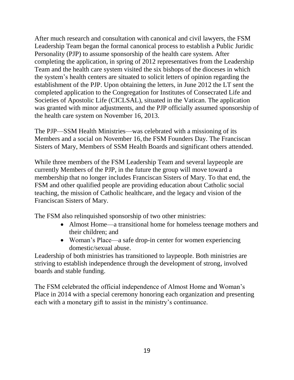After much research and consultation with canonical and civil lawyers, the FSM Leadership Team began the formal canonical process to establish a Public Juridic Personality (PJP) to assume sponsorship of the health care system. After completing the application, in spring of 2012 representatives from the Leadership Team and the health care system visited the six bishops of the dioceses in which the system's health centers are situated to solicit letters of opinion regarding the establishment of the PJP. Upon obtaining the letters, in June 2012 the LT sent the completed application to the Congregation for Institutes of Consecrated Life and Societies of Apostolic Life (CICLSAL), situated in the Vatican. The application was granted with minor adjustments, and the PJP officially assumed sponsorship of the health care system on November 16, 2013.

The PJP—SSM Health Ministries—was celebrated with a missioning of its Members and a social on November 16, the FSM Founders Day. The Franciscan Sisters of Mary, Members of SSM Health Boards and significant others attended.

While three members of the FSM Leadership Team and several laypeople are currently Members of the PJP, in the future the group will move toward a membership that no longer includes Franciscan Sisters of Mary. To that end, the FSM and other qualified people are providing education about Catholic social teaching, the mission of Catholic healthcare, and the legacy and vision of the Franciscan Sisters of Mary.

The FSM also relinquished sponsorship of two other ministries:

- Almost Home—a transitional home for homeless teenage mothers and their children; and
- Woman's Place—a safe drop-in center for women experiencing domestic/sexual abuse.

Leadership of both ministries has transitioned to laypeople. Both ministries are striving to establish independence through the development of strong, involved boards and stable funding.

The FSM celebrated the official independence of Almost Home and Woman's Place in 2014 with a special ceremony honoring each organization and presenting each with a monetary gift to assist in the ministry's continuance.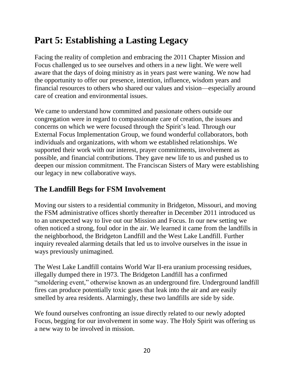# **Part 5: Establishing a Lasting Legacy**

Facing the reality of completion and embracing the 2011 Chapter Mission and Focus challenged us to see ourselves and others in a new light. We were well aware that the days of doing ministry as in years past were waning. We now had the opportunity to offer our presence, intention, influence, wisdom years and financial resources to others who shared our values and vision—especially around care of creation and environmental issues.

We came to understand how committed and passionate others outside our congregation were in regard to compassionate care of creation, the issues and concerns on which we were focused through the Spirit's lead. Through our External Focus Implementation Group, we found wonderful collaborators, both individuals and organizations, with whom we established relationships. We supported their work with our interest, prayer commitments, involvement as possible, and financial contributions. They gave new life to us and pushed us to deepen our mission commitment. The Franciscan Sisters of Mary were establishing our legacy in new collaborative ways.

#### **The Landfill Begs for FSM Involvement**

Moving our sisters to a residential community in Bridgeton, Missouri, and moving the FSM administrative offices shortly thereafter in December 2011 introduced us to an unexpected way to live out our Mission and Focus. In our new setting we often noticed a strong, foul odor in the air. We learned it came from the landfills in the neighborhood, the Bridgeton Landfill and the West Lake Landfill. Further inquiry revealed alarming details that led us to involve ourselves in the issue in ways previously unimagined.

The West Lake Landfill contains World War II-era uranium processing residues, illegally dumped there in 1973. The Bridgeton Landfill has a confirmed "smoldering event," otherwise known as an underground fire. Underground landfill fires can produce potentially toxic gases that leak into the air and are easily smelled by area residents. Alarmingly, these two landfills are side by side.

We found ourselves confronting an issue directly related to our newly adopted Focus, begging for our involvement in some way. The Holy Spirit was offering us a new way to be involved in mission.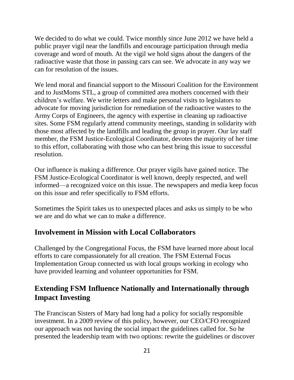We decided to do what we could. Twice monthly since June 2012 we have held a public prayer vigil near the landfills and encourage participation through media coverage and word of mouth. At the vigil we hold signs about the dangers of the radioactive waste that those in passing cars can see. We advocate in any way we can for resolution of the issues.

We lend moral and financial support to the Missouri Coalition for the Environment and to JustMoms STL, a group of committed area mothers concerned with their children's welfare. We write letters and make personal visits to legislators to advocate for moving jurisdiction for remediation of the radioactive wastes to the Army Corps of Engineers, the agency with expertise in cleaning up radioactive sites. Some FSM regularly attend community meetings, standing in solidarity with those most affected by the landfills and leading the group in prayer. Our lay staff member, the FSM Justice-Ecological Coordinator, devotes the majority of her time to this effort, collaborating with those who can best bring this issue to successful resolution.

Our influence is making a difference. Our prayer vigils have gained notice. The FSM Justice-Ecological Coordinator is well known, deeply respected, and well informed—a recognized voice on this issue. The newspapers and media keep focus on this issue and refer specifically to FSM efforts.

Sometimes the Spirit takes us to unexpected places and asks us simply to be who we are and do what we can to make a difference.

#### **Involvement in Mission with Local Collaborators**

Challenged by the Congregational Focus, the FSM have learned more about local efforts to care compassionately for all creation. The FSM External Focus Implementation Group connected us with local groups working in ecology who have provided learning and volunteer opportunities for FSM.

### **Extending FSM Influence Nationally and Internationally through Impact Investing**

The Franciscan Sisters of Mary had long had a policy for socially responsible investment. In a 2009 review of this policy, however, our CEO/CFO recognized our approach was not having the social impact the guidelines called for. So he presented the leadership team with two options: rewrite the guidelines or discover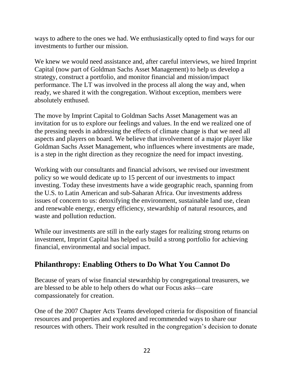ways to adhere to the ones we had. We enthusiastically opted to find ways for our investments to further our mission.

We knew we would need assistance and, after careful interviews, we hired Imprint Capital (now part of Goldman Sachs Asset Management) to help us develop a strategy, construct a portfolio, and monitor financial and mission/impact performance. The LT was involved in the process all along the way and, when ready, we shared it with the congregation. Without exception, members were absolutely enthused.

The move by Imprint Capital to Goldman Sachs Asset Management was an invitation for us to explore our feelings and values. In the end we realized one of the pressing needs in addressing the effects of climate change is that we need all aspects and players on board. We believe that involvement of a major player like Goldman Sachs Asset Management, who influences where investments are made, is a step in the right direction as they recognize the need for impact investing.

Working with our consultants and financial advisors, we revised our investment policy so we would dedicate up to 15 percent of our investments to impact investing. Today these investments have a wide geographic reach, spanning from the U.S. to Latin American and sub-Saharan Africa. Our investments address issues of concern to us: detoxifying the environment, sustainable land use, clean and renewable energy, energy efficiency, stewardship of natural resources, and waste and pollution reduction.

While our investments are still in the early stages for realizing strong returns on investment, Imprint Capital has helped us build a strong portfolio for achieving financial, environmental and social impact.

### **Philanthropy: Enabling Others to Do What You Cannot Do**

Because of years of wise financial stewardship by congregational treasurers, we are blessed to be able to help others do what our Focus asks—care compassionately for creation.

One of the 2007 Chapter Acts Teams developed criteria for disposition of financial resources and properties and explored and recommended ways to share our resources with others. Their work resulted in the congregation's decision to donate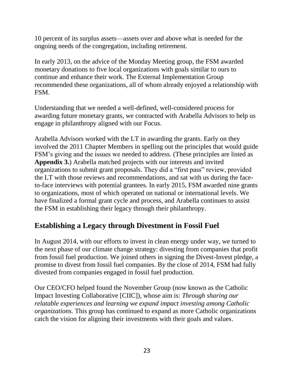10 percent of its surplus assets—assets over and above what is needed for the ongoing needs of the congregation, including retirement.

In early 2013, on the advice of the Monday Meeting group, the FSM awarded monetary donations to five local organizations with goals similar to ours to continue and enhance their work. The External Implementation Group recommended these organizations, all of whom already enjoyed a relationship with FSM.

Understanding that we needed a well-defined, well-considered process for awarding future monetary grants, we contracted with Arabella Advisors to help us engage in philanthropy aligned with our Focus.

Arabella Advisors worked with the LT in awarding the grants. Early on they involved the 2011 Chapter Members in spelling out the principles that would guide FSM's giving and the issues we needed to address. (These principles are listed as **Appendix 3.**) Arabella matched projects with our interests and invited organizations to submit grant proposals. They did a "first pass" review, provided the LT with those reviews and recommendations, and sat with us during the faceto-face interviews with potential grantees. In early 2015, FSM awarded nine grants to organizations, most of which operated on national or international levels. We have finalized a formal grant cycle and process, and Arabella continues to assist the FSM in establishing their legacy through their philanthropy.

#### **Establishing a Legacy through Divestment in Fossil Fuel**

In August 2014, with our efforts to invest in clean energy under way, we turned to the next phase of our climate change strategy: divesting from companies that profit from fossil fuel production. We joined others in signing the Divest-Invest pledge, a promise to divest from fossil fuel companies. By the close of 2014, FSM had fully divested from companies engaged in fossil fuel production.

Our CEO/CFO helped found the November Group (now known as the Catholic Impact Investing Collaborative [CIIC]), whose aim is: *Through sharing our relatable experiences and learning we expand impact investing among Catholic organizations.* This group has continued to expand as more Catholic organizations catch the vision for aligning their investments with their goals and values.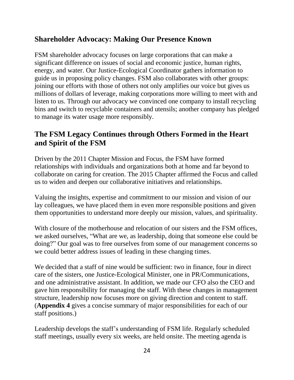### **Shareholder Advocacy: Making Our Presence Known**

FSM shareholder advocacy focuses on large corporations that can make a significant difference on issues of social and economic justice, human rights, energy, and water. Our Justice-Ecological Coordinator gathers information to guide us in proposing policy changes. FSM also collaborates with other groups: joining our efforts with those of others not only amplifies our voice but gives us millions of dollars of leverage, making corporations more willing to meet with and listen to us. Through our advocacy we convinced one company to install recycling bins and switch to recyclable containers and utensils; another company has pledged to manage its water usage more responsibly.

### **The FSM Legacy Continues through Others Formed in the Heart and Spirit of the FSM**

Driven by the 2011 Chapter Mission and Focus, the FSM have formed relationships with individuals and organizations both at home and far beyond to collaborate on caring for creation. The 2015 Chapter affirmed the Focus and called us to widen and deepen our collaborative initiatives and relationships.

Valuing the insights, expertise and commitment to our mission and vision of our lay colleagues, we have placed them in even more responsible positions and given them opportunities to understand more deeply our mission, values, and spirituality.

With closure of the motherhouse and relocation of our sisters and the FSM offices, we asked ourselves, "What are we, as leadership, doing that someone else could be doing?" Our goal was to free ourselves from some of our management concerns so we could better address issues of leading in these changing times.

We decided that a staff of nine would be sufficient: two in finance, four in direct care of the sisters, one Justice-Ecological Minister, one in PR/Communications, and one administrative assistant. In addition, we made our CFO also the CEO and gave him responsibility for managing the staff. With these changes in management structure, leadership now focuses more on giving direction and content to staff. (**Appendix 4** gives a concise summary of major responsibilities for each of our staff positions.)

Leadership develops the staff's understanding of FSM life. Regularly scheduled staff meetings, usually every six weeks, are held onsite. The meeting agenda is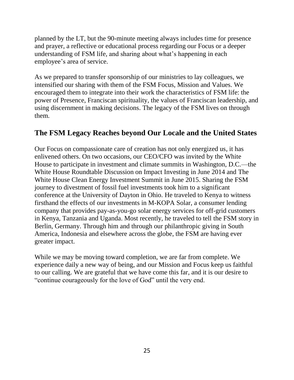planned by the LT, but the 90-minute meeting always includes time for presence and prayer, a reflective or educational process regarding our Focus or a deeper understanding of FSM life, and sharing about what's happening in each employee's area of service.

As we prepared to transfer sponsorship of our ministries to lay colleagues, we intensified our sharing with them of the FSM Focus, Mission and Values. We encouraged them to integrate into their work the characteristics of FSM life: the power of Presence, Franciscan spirituality, the values of Franciscan leadership, and using discernment in making decisions. The legacy of the FSM lives on through them.

#### **The FSM Legacy Reaches beyond Our Locale and the United States**

Our Focus on compassionate care of creation has not only energized us, it has enlivened others. On two occasions, our CEO/CFO was invited by the White House to participate in investment and climate summits in Washington, D.C.—the White House Roundtable Discussion on Impact Investing in June 2014 and The White House Clean Energy Investment Summit in June 2015. Sharing the FSM journey to divestment of fossil fuel investments took him to a significant conference at the University of Dayton in Ohio. He traveled to Kenya to witness firsthand the effects of our investments in M-KOPA Solar, a consumer lending company that provides pay-as-you-go solar energy services for off-grid customers in Kenya, Tanzania and Uganda. Most recently, he traveled to tell the FSM story in Berlin, Germany. Through him and through our philanthropic giving in South America, Indonesia and elsewhere across the globe, the FSM are having ever greater impact.

While we may be moving toward completion, we are far from complete. We experience daily a new way of being, and our Mission and Focus keep us faithful to our calling. We are grateful that we have come this far, and it is our desire to "continue courageously for the love of God" until the very end.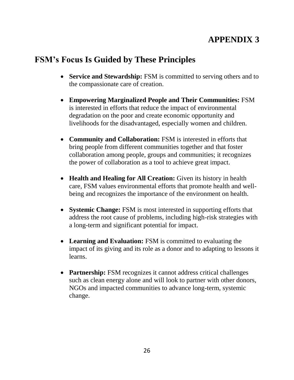# **APPENDIX 3**

# **FSM's Focus Is Guided by These Principles**

- **Service and Stewardship:** FSM is committed to serving others and to the compassionate care of creation.
- **Empowering Marginalized People and Their Communities:** FSM is interested in efforts that reduce the impact of environmental degradation on the poor and create economic opportunity and livelihoods for the disadvantaged, especially women and children.
- **Community and Collaboration:** FSM is interested in efforts that bring people from different communities together and that foster collaboration among people, groups and communities; it recognizes the power of collaboration as a tool to achieve great impact.
- **Health and Healing for All Creation:** Given its history in health care, FSM values environmental efforts that promote health and wellbeing and recognizes the importance of the environment on health.
- **Systemic Change:** FSM is most interested in supporting efforts that address the root cause of problems, including high-risk strategies with a long-term and significant potential for impact.
- **Learning and Evaluation:** FSM is committed to evaluating the impact of its giving and its role as a donor and to adapting to lessons it learns.
- **Partnership:** FSM recognizes it cannot address critical challenges such as clean energy alone and will look to partner with other donors, NGOs and impacted communities to advance long-term, systemic change.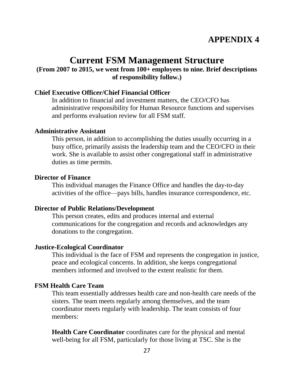# **APPENDIX 4**

# **Current FSM Management Structure**

#### **(From 2007 to 2015, we went from 100+ employees to nine. Brief descriptions of responsibility follow.)**

#### **Chief Executive Officer/Chief Financial Officer**

In addition to financial and investment matters, the CEO/CFO has administrative responsibility for Human Resource functions and supervises and performs evaluation review for all FSM staff.

#### **Administrative Assistant**

This person, in addition to accomplishing the duties usually occurring in a busy office, primarily assists the leadership team and the CEO/CFO in their work. She is available to assist other congregational staff in administrative duties as time permits.

#### **Director of Finance**

This individual manages the Finance Office and handles the day-to-day activities of the office—pays bills, handles insurance correspondence, etc.

#### **Director of Public Relations/Development**

This person creates, edits and produces internal and external communications for the congregation and records and acknowledges any donations to the congregation.

#### **Justice-Ecological Coordinator**

This individual is the face of FSM and represents the congregation in justice, peace and ecological concerns. In addition, she keeps congregational members informed and involved to the extent realistic for them.

#### **FSM Health Care Team**

This team essentially addresses health care and non-health care needs of the sisters. The team meets regularly among themselves, and the team coordinator meets regularly with leadership. The team consists of four members:

**Health Care Coordinator** coordinates care for the physical and mental well-being for all FSM, particularly for those living at TSC. She is the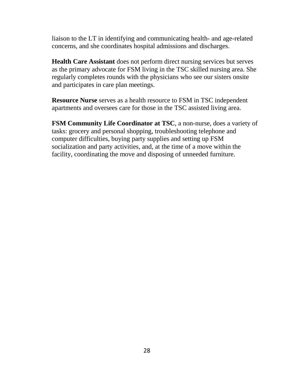liaison to the LT in identifying and communicating health- and age-related concerns, and she coordinates hospital admissions and discharges.

**Health Care Assistant** does not perform direct nursing services but serves as the primary advocate for FSM living in the TSC skilled nursing area. She regularly completes rounds with the physicians who see our sisters onsite and participates in care plan meetings.

**Resource Nurse** serves as a health resource to FSM in TSC independent apartments and oversees care for those in the TSC assisted living area.

**FSM Community Life Coordinator at TSC**, a non-nurse, does a variety of tasks: grocery and personal shopping, troubleshooting telephone and computer difficulties, buying party supplies and setting up FSM socialization and party activities, and, at the time of a move within the facility, coordinating the move and disposing of unneeded furniture.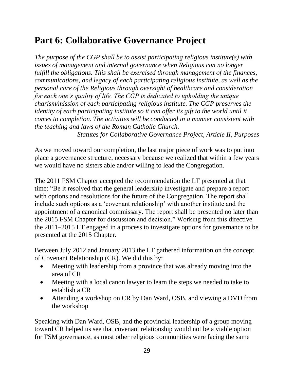# **Part 6: Collaborative Governance Project**

*The purpose of the CGP shall be to assist participating religious institute(s) with issues of management and internal governance when Religious can no longer fulfill the obligations. This shall be exercised through management of the finances, communications, and legacy of each participating religious institute, as well as the personal care of the Religious through oversight of healthcare and consideration for each one's quality of life. The CGP is dedicated to upholding the unique charism/mission of each participating religious institute. The CGP preserves the identity of each participating institute so it can offer its gift to the world until it comes to completion. The activities will be conducted in a manner consistent with the teaching and laws of the Roman Catholic Church.*

*Statutes for Collaborative Governance Project, Article II, Purposes*

As we moved toward our completion, the last major piece of work was to put into place a governance structure, necessary because we realized that within a few years we would have no sisters able and/or willing to lead the Congregation.

The 2011 FSM Chapter accepted the recommendation the LT presented at that time: "Be it resolved that the general leadership investigate and prepare a report with options and resolutions for the future of the Congregation. The report shall include such options as a 'covenant relationship' with another institute and the appointment of a canonical commissary. The report shall be presented no later than the 2015 FSM Chapter for discussion and decision." Working from this directive the 2011–2015 LT engaged in a process to investigate options for governance to be presented at the 2015 Chapter.

Between July 2012 and January 2013 the LT gathered information on the concept of Covenant Relationship (CR). We did this by:

- Meeting with leadership from a province that was already moving into the area of CR
- Meeting with a local canon lawyer to learn the steps we needed to take to establish a CR
- Attending a workshop on CR by Dan Ward, OSB, and viewing a DVD from the workshop

Speaking with Dan Ward, OSB, and the provincial leadership of a group moving toward CR helped us see that covenant relationship would not be a viable option for FSM governance, as most other religious communities were facing the same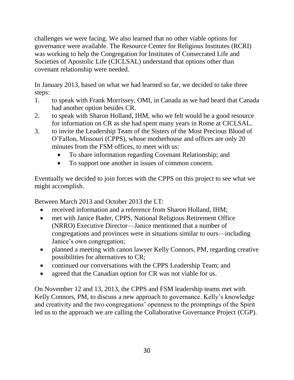challenges we were facing. We also learned that no other viable options for governance were available. The Resource Center for Religious Institutes (RCRI) was working to help the Congregation for Institutes of Consecrated Life and Societies of Apostolic Life (CICLSAL) understand that options other than covenant relationship were needed.

In January 2013, based on what we had learned so far, we decided to take three steps:

- 1. to speak with Frank Morrissey, OMI, in Canada as we had heard that Canada had another option besides CR.
- 2. to speak with Sharon Holland, IHM, who we felt would be a good resource for information on CR as she had spent many years in Rome at CICLSAL.
- 3. to invite the Leadership Team of the Sisters of the Most Precious Blood of O'Fallon, Missouri (CPPS), whose motherhouse and offices are only 20 minutes from the FSM offices, to meet with us:
	- To share information regarding Covenant Relationship; and
	- To support one another in issues of common concern.

Eventually we decided to join forces with the CPPS on this project to see what we might accomplish.

Between March 2013 and October 2013 the LT:

- received information and a reference from Sharon Holland, IHM;
- met with Janice Bader, CPPS, National Religious Retirement Office (NRRO) Executive Director—Janice mentioned that a number of congregations and provinces were in situations similar to ours—including Janice's own congregation;
- planned a meeting with canon lawyer Kelly Connors, PM, regarding creative possibilities for alternatives to CR;
- continued our conversations with the CPPS Leadership Team; and
- agreed that the Canadian option for CR was not viable for us.

On November 12 and 13, 2013, the CPPS and FSM leadership teams met with Kelly Connors, PM, to discuss a new approach to governance. Kelly's knowledge and creativity and the two congregations' openness to the promptings of the Spirit led us to the approach we are calling the Collaborative Governance Project (CGP).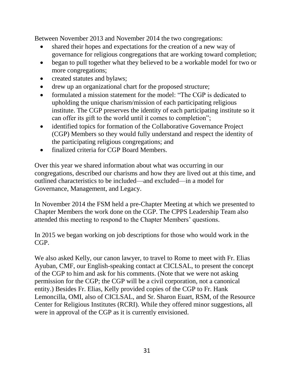Between November 2013 and November 2014 the two congregations:

- shared their hopes and expectations for the creation of a new way of governance for religious congregations that are working toward completion;
- began to pull together what they believed to be a workable model for two or more congregations;
- created statutes and bylaws;
- drew up an organizational chart for the proposed structure;
- formulated a mission statement for the model: "The CGP is dedicated to upholding the unique charism/mission of each participating religious institute. The CGP preserves the identity of each participating institute so it can offer its gift to the world until it comes to completion";
- identified topics for formation of the Collaborative Governance Project (CGP) Members so they would fully understand and respect the identity of the participating religious congregations; and
- finalized criteria for CGP Board Members.

Over this year we shared information about what was occurring in our congregations, described our charisms and how they are lived out at this time, and outlined characteristics to be included—and excluded—in a model for Governance, Management, and Legacy.

In November 2014 the FSM held a pre-Chapter Meeting at which we presented to Chapter Members the work done on the CGP. The CPPS Leadership Team also attended this meeting to respond to the Chapter Members' questions.

In 2015 we began working on job descriptions for those who would work in the CGP.

We also asked Kelly, our canon lawyer, to travel to Rome to meet with Fr. Elias Ayuban, CMF, our English-speaking contact at CICLSAL, to present the concept of the CGP to him and ask for his comments. (Note that we were not asking permission for the CGP; the CGP will be a civil corporation, not a canonical entity.) Besides Fr. Elias, Kelly provided copies of the CGP to Fr. Hank Lemoncilla, OMI, also of CICLSAL, and Sr. Sharon Euart, RSM, of the Resource Center for Religious Institutes (RCRI). While they offered minor suggestions, all were in approval of the CGP as it is currently envisioned.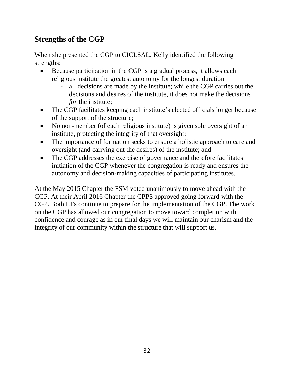### **Strengths of the CGP**

When she presented the CGP to CICLSAL, Kelly identified the following strengths:

- Because participation in the CGP is a gradual process, it allows each religious institute the greatest autonomy for the longest duration
	- all decisions are made by the institute; while the CGP carries out the decisions and desires of the institute, it does not make the decisions *for* the institute;
- The CGP facilitates keeping each institute's elected officials longer because of the support of the structure;
- No non-member (of each religious institute) is given sole oversight of an institute, protecting the integrity of that oversight;
- The importance of formation seeks to ensure a holistic approach to care and oversight (and carrying out the desires) of the institute; and
- The CGP addresses the exercise of governance and therefore facilitates initiation of the CGP whenever the congregation is ready and ensures the autonomy and decision-making capacities of participating institutes.

At the May 2015 Chapter the FSM voted unanimously to move ahead with the CGP. At their April 2016 Chapter the CPPS approved going forward with the CGP. Both LTs continue to prepare for the implementation of the CGP. The work on the CGP has allowed our congregation to move toward completion with confidence and courage as in our final days we will maintain our charism and the integrity of our community within the structure that will support us.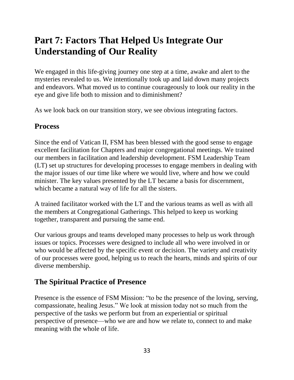# **Part 7: Factors That Helped Us Integrate Our Understanding of Our Reality**

We engaged in this life-giving journey one step at a time, awake and alert to the mysteries revealed to us. We intentionally took up and laid down many projects and endeavors. What moved us to continue courageously to look our reality in the eye and give life both to mission and to diminishment?

As we look back on our transition story, we see obvious integrating factors.

#### **Process**

Since the end of Vatican II, FSM has been blessed with the good sense to engage excellent facilitation for Chapters and major congregational meetings. We trained our members in facilitation and leadership development. FSM Leadership Team (LT) set up structures for developing processes to engage members in dealing with the major issues of our time like where we would live, where and how we could minister. The key values presented by the LT became a basis for discernment, which became a natural way of life for all the sisters.

A trained facilitator worked with the LT and the various teams as well as with all the members at Congregational Gatherings. This helped to keep us working together, transparent and pursuing the same end.

Our various groups and teams developed many processes to help us work through issues or topics. Processes were designed to include all who were involved in or who would be affected by the specific event or decision. The variety and creativity of our processes were good, helping us to reach the hearts, minds and spirits of our diverse membership.

### **The Spiritual Practice of Presence**

Presence is the essence of FSM Mission: "to be the presence of the loving, serving, compassionate, healing Jesus." We look at mission today not so much from the perspective of the tasks we perform but from an experiential or spiritual perspective of presence—who we are and how we relate to, connect to and make meaning with the whole of life.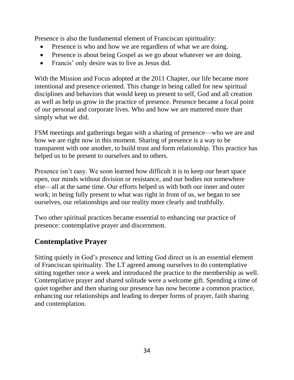Presence is also the fundamental element of Franciscan spirituality:

- Presence is who and how we are regardless of what we are doing.
- Presence is about being Gospel as we go about whatever we are doing.
- Francis' only desire was to live as Jesus did.

With the Mission and Focus adopted at the 2011 Chapter, our life became more intentional and presence oriented. This change in being called for new spiritual disciplines and behaviors that would keep us present to self, God and all creation as well as help us grow in the practice of presence. Presence became a focal point of our personal and corporate lives. Who and how we are mattered more than simply what we did.

FSM meetings and gatherings began with a sharing of presence—who we are and how we are right now in this moment. Sharing of presence is a way to be transparent with one another, to build trust and form relationship. This practice has helped us to be present to ourselves and to others.

Presence isn't easy. We soon learned how difficult it is to keep our heart space open, our minds without division or resistance, and our bodies not somewhere else—all at the same time. Our efforts helped us with both our inner and outer work; in being fully present to what was right in front of us, we began to see ourselves, our relationships and our reality more clearly and truthfully.

Two other spiritual practices became essential to enhancing our practice of presence: contemplative prayer and discernment.

### **Contemplative Prayer**

Sitting quietly in God's presence and letting God direct us is an essential element of Franciscan spirituality. The LT agreed among ourselves to do contemplative sitting together once a week and introduced the practice to the membership as well. Contemplative prayer and shared solitude were a welcome gift. Spending a time of quiet together and then sharing our presence has now become a common practice, enhancing our relationships and leading to deeper forms of prayer, faith sharing and contemplation.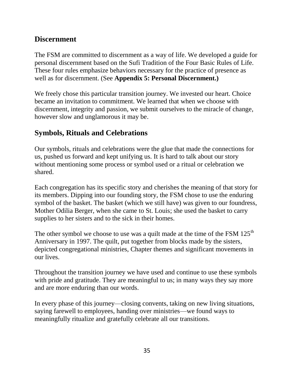#### **Discernment**

The FSM are committed to discernment as a way of life. We developed a guide for personal discernment based on the Sufi Tradition of the Four Basic Rules of Life. These four rules emphasize behaviors necessary for the practice of presence as well as for discernment. (See **Appendix 5: Personal Discernment.)**

We freely chose this particular transition journey. We invested our heart. Choice became an invitation to commitment. We learned that when we choose with discernment, integrity and passion, we submit ourselves to the miracle of change, however slow and unglamorous it may be.

### **Symbols, Rituals and Celebrations**

Our symbols, rituals and celebrations were the glue that made the connections for us, pushed us forward and kept unifying us. It is hard to talk about our story without mentioning some process or symbol used or a ritual or celebration we shared.

Each congregation has its specific story and cherishes the meaning of that story for its members. Dipping into our founding story, the FSM chose to use the enduring symbol of the basket. The basket (which we still have) was given to our foundress, Mother Odilia Berger, when she came to St. Louis; she used the basket to carry supplies to her sisters and to the sick in their homes.

The other symbol we choose to use was a quilt made at the time of the FSM  $125<sup>th</sup>$ Anniversary in 1997. The quilt, put together from blocks made by the sisters, depicted congregational ministries, Chapter themes and significant movements in our lives.

Throughout the transition journey we have used and continue to use these symbols with pride and gratitude. They are meaningful to us; in many ways they say more and are more enduring than our words.

In every phase of this journey—closing convents, taking on new living situations, saying farewell to employees, handing over ministries—we found ways to meaningfully ritualize and gratefully celebrate all our transitions.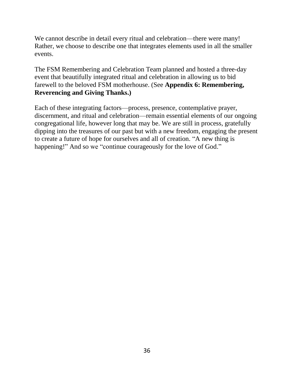We cannot describe in detail every ritual and celebration—there were many! Rather, we choose to describe one that integrates elements used in all the smaller events.

The FSM Remembering and Celebration Team planned and hosted a three-day event that beautifully integrated ritual and celebration in allowing us to bid farewell to the beloved FSM motherhouse. (See **Appendix 6: Remembering, Reverencing and Giving Thanks.)**

Each of these integrating factors—process, presence, contemplative prayer, discernment, and ritual and celebration—remain essential elements of our ongoing congregational life, however long that may be. We are still in process, gratefully dipping into the treasures of our past but with a new freedom, engaging the present to create a future of hope for ourselves and all of creation. "A new thing is happening!" And so we "continue courageously for the love of God."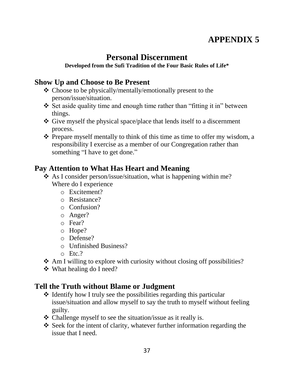# **APPENDIX 5**

# **Personal Discernment**

#### **Developed from the Sufi Tradition of the Four Basic Rules of Life\***

#### **Show Up and Choose to Be Present**

- Choose to be physically/mentally/emotionally present to the person/issue/situation.
- $\div$  Set aside quality time and enough time rather than "fitting it in" between things.
- Give myself the physical space/place that lends itself to a discernment process.
- $\triangle$  Prepare myself mentally to think of this time as time to offer my wisdom, a responsibility I exercise as a member of our Congregation rather than something "I have to get done."

### **Pay Attention to What Has Heart and Meaning**

- As I consider person/issue/situation, what is happening within me? Where do I experience
	- o Excitement?
	- o Resistance?
	- o Confusion?
	- o Anger?
	- o Fear?
	- o Hope?
	- o Defense?
	- o Unfinished Business?
	- o Etc.?
- $\triangle$  Am I willing to explore with curiosity without closing off possibilities?
- What healing do I need?

### **Tell the Truth without Blame or Judgment**

- $\triangle$  Identify how I truly see the possibilities regarding this particular issue/situation and allow myself to say the truth to myself without feeling guilty.
- $\triangle$  Challenge myself to see the situation/issue as it really is.
- Seek for the intent of clarity, whatever further information regarding the issue that I need.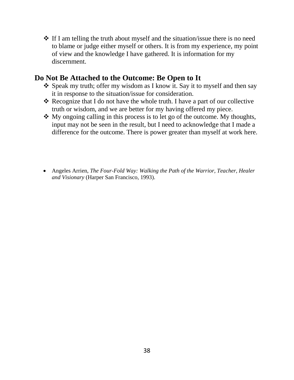$\triangle$  If I am telling the truth about myself and the situation/issue there is no need to blame or judge either myself or others. It is from my experience, my point of view and the knowledge I have gathered. It is information for my discernment.

#### **Do Not Be Attached to the Outcome: Be Open to It**

- \* Speak my truth; offer my wisdom as I know it. Say it to myself and then say it in response to the situation/issue for consideration.
- Recognize that I do not have the whole truth. I have a part of our collective truth or wisdom, and we are better for my having offered my piece.
- $\triangle$  My ongoing calling in this process is to let go of the outcome. My thoughts, input may not be seen in the result, but I need to acknowledge that I made a difference for the outcome. There is power greater than myself at work here.
- Angeles Arrien, *The Four-Fold Way: Walking the Path of the Warrior, Teacher, Healer and Visionary* (Harper San Francisco, 1993).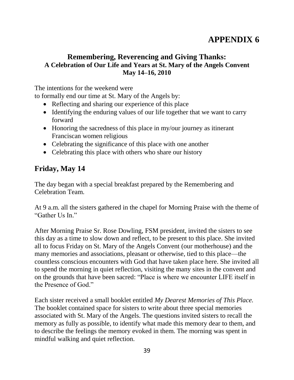# **APPENDIX 6**

#### **Remembering, Reverencing and Giving Thanks: A Celebration of Our Life and Years at St. Mary of the Angels Convent May 14–16, 2010**

The intentions for the weekend were

to formally end our time at St. Mary of the Angels by:

- Reflecting and sharing our experience of this place
- Identifying the enduring values of our life together that we want to carry forward
- Honoring the sacredness of this place in my/our journey as itinerant Franciscan women religious
- Celebrating the significance of this place with one another
- Celebrating this place with others who share our history

### **Friday, May 14**

The day began with a special breakfast prepared by the Remembering and Celebration Team.

At 9 a.m. all the sisters gathered in the chapel for Morning Praise with the theme of "Gather Us In."

After Morning Praise Sr. Rose Dowling, FSM president, invited the sisters to see this day as a time to slow down and reflect, to be present to this place. She invited all to focus Friday on St. Mary of the Angels Convent (our motherhouse) and the many memories and associations, pleasant or otherwise, tied to this place—the countless conscious encounters with God that have taken place here. She invited all to spend the morning in quiet reflection, visiting the many sites in the convent and on the grounds that have been sacred: "Place is where we encounter LIFE itself in the Presence of God."

Each sister received a small booklet entitled *My Dearest Memories of This Place.*  The booklet contained space for sisters to write about three special memories associated with St. Mary of the Angels. The questions invited sisters to recall the memory as fully as possible, to identify what made this memory dear to them, and to describe the feelings the memory evoked in them. The morning was spent in mindful walking and quiet reflection.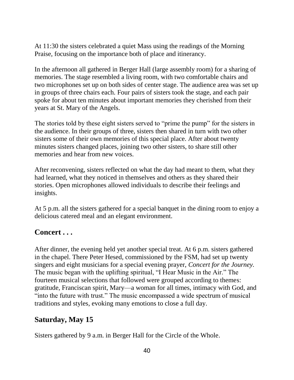At 11:30 the sisters celebrated a quiet Mass using the readings of the Morning Praise, focusing on the importance both of place and itinerancy.

In the afternoon all gathered in Berger Hall (large assembly room) for a sharing of memories. The stage resembled a living room, with two comfortable chairs and two microphones set up on both sides of center stage. The audience area was set up in groups of three chairs each. Four pairs of sisters took the stage, and each pair spoke for about ten minutes about important memories they cherished from their years at St. Mary of the Angels.

The stories told by these eight sisters served to "prime the pump" for the sisters in the audience. In their groups of three, sisters then shared in turn with two other sisters some of their own memories of this special place. After about twenty minutes sisters changed places, joining two other sisters, to share still other memories and hear from new voices.

After reconvening, sisters reflected on what the day had meant to them, what they had learned, what they noticed in themselves and others as they shared their stories. Open microphones allowed individuals to describe their feelings and insights.

At 5 p.m. all the sisters gathered for a special banquet in the dining room to enjoy a delicious catered meal and an elegant environment.

#### **Concert . . .**

After dinner, the evening held yet another special treat. At 6 p.m. sisters gathered in the chapel. There Peter Hesed, commissioned by the FSM, had set up twenty singers and eight musicians for a special evening prayer, *Concert for the Journey.* The music began with the uplifting spiritual, "I Hear Music in the Air." The fourteen musical selections that followed were grouped according to themes: gratitude, Franciscan spirit, Mary—a woman for all times, intimacy with God, and "into the future with trust." The music encompassed a wide spectrum of musical traditions and styles, evoking many emotions to close a full day.

#### **Saturday, May 15**

Sisters gathered by 9 a.m. in Berger Hall for the Circle of the Whole.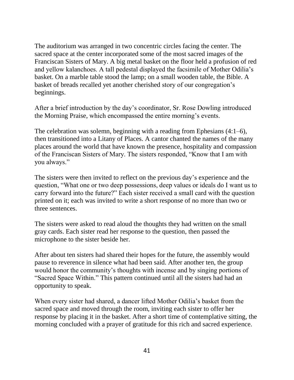The auditorium was arranged in two concentric circles facing the center. The sacred space at the center incorporated some of the most sacred images of the Franciscan Sisters of Mary. A big metal basket on the floor held a profusion of red and yellow kalanchoes. A tall pedestal displayed the facsimile of Mother Odilia's basket. On a marble table stood the lamp; on a small wooden table, the Bible. A basket of breads recalled yet another cherished story of our congregation's beginnings.

After a brief introduction by the day's coordinator, Sr. Rose Dowling introduced the Morning Praise, which encompassed the entire morning's events.

The celebration was solemn, beginning with a reading from Ephesians (4:1–6), then transitioned into a Litany of Places. A cantor chanted the names of the many places around the world that have known the presence, hospitality and compassion of the Franciscan Sisters of Mary. The sisters responded, "Know that I am with you always."

The sisters were then invited to reflect on the previous day's experience and the question, "What one or two deep possessions, deep values or ideals do I want us to carry forward into the future?" Each sister received a small card with the question printed on it; each was invited to write a short response of no more than two or three sentences.

The sisters were asked to read aloud the thoughts they had written on the small gray cards. Each sister read her response to the question, then passed the microphone to the sister beside her.

After about ten sisters had shared their hopes for the future, the assembly would pause to reverence in silence what had been said. After another ten, the group would honor the community's thoughts with incense and by singing portions of "Sacred Space Within." This pattern continued until all the sisters had had an opportunity to speak.

When every sister had shared, a dancer lifted Mother Odilia's basket from the sacred space and moved through the room, inviting each sister to offer her response by placing it in the basket. After a short time of contemplative sitting, the morning concluded with a prayer of gratitude for this rich and sacred experience.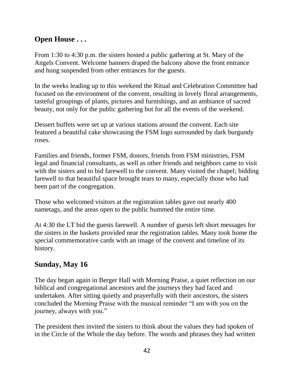### **Open House . . .**

From 1:30 to 4:30 p.m. the sisters hosted a public gathering at St. Mary of the Angels Convent. Welcome banners draped the balcony above the front entrance and hung suspended from other entrances for the guests.

In the weeks leading up to this weekend the Ritual and Celebration Committee had focused on the environment of the convent, resulting in lovely floral arrangements, tasteful groupings of plants, pictures and furnishings, and an ambiance of sacred beauty, not only for the public gathering but for all the events of the weekend.

Dessert buffets were set up at various stations around the convent. Each site featured a beautiful cake showcasing the FSM logo surrounded by dark burgundy roses.

Families and friends, former FSM, donors, friends from FSM ministries, FSM legal and financial consultants, as well as other friends and neighbors came to visit with the sisters and to bid farewell to the convent. Many visited the chapel; bidding farewell to that beautiful space brought tears to many, especially those who had been part of the congregation.

Those who welcomed visitors at the registration tables gave out nearly 400 nametags, and the areas open to the public hummed the entire time.

At 4:30 the LT bid the guests farewell. A number of guests left short messages for the sisters in the baskets provided near the registration tables. Many took home the special commemorative cards with an image of the convent and timeline of its history.

### **Sunday, May 16**

The day began again in Berger Hall with Morning Praise, a quiet reflection on our biblical and congregational ancestors and the journeys they had faced and undertaken. After sitting quietly and prayerfully with their ancestors, the sisters concluded the Morning Praise with the musical reminder "I am with you on the journey, always with you."

The president then invited the sisters to think about the values they had spoken of in the Circle of the Whole the day before. The words and phrases they had written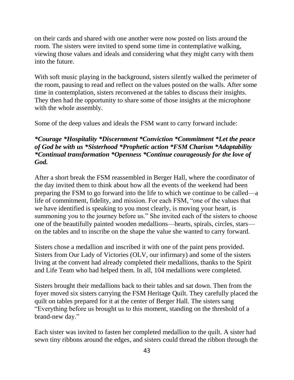on their cards and shared with one another were now posted on lists around the room. The sisters were invited to spend some time in contemplative walking, viewing those values and ideals and considering what they might carry with them into the future.

With soft music playing in the background, sisters silently walked the perimeter of the room, pausing to read and reflect on the values posted on the walls. After some time in contemplation, sisters reconvened at the tables to discuss their insights. They then had the opportunity to share some of those insights at the microphone with the whole assembly.

Some of the deep values and ideals the FSM want to carry forward include:

#### *\*Courage \*Hospitality \*Discernment \*Conviction \*Commitment \*Let the peace of God be with us \*Sisterhood \*Prophetic action \*FSM Charism \*Adaptability \*Continual transformation \*Openness \*Continue courageously for the love of God.*

After a short break the FSM reassembled in Berger Hall, where the coordinator of the day invited them to think about how all the events of the weekend had been preparing the FSM to go forward into the life to which we continue to be called—a life of commitment, fidelity, and mission. For each FSM, "one of the values that we have identified is speaking to you most clearly, is moving your heart, is summoning you to the journey before us." She invited each of the sisters to choose one of the beautifully painted wooden medallions—hearts, spirals, circles, stars on the tables and to inscribe on the shape the value she wanted to carry forward.

Sisters chose a medallion and inscribed it with one of the paint pens provided. Sisters from Our Lady of Victories (OLV, our infirmary) and some of the sisters living at the convent had already completed their medallions, thanks to the Spirit and Life Team who had helped them. In all, 104 medallions were completed.

Sisters brought their medallions back to their tables and sat down. Then from the foyer moved six sisters carrying the FSM Heritage Quilt. They carefully placed the quilt on tables prepared for it at the center of Berger Hall. The sisters sang "Everything before us brought us to this moment, standing on the threshold of a brand-new day."

Each sister was invited to fasten her completed medallion to the quilt. A sister had sewn tiny ribbons around the edges, and sisters could thread the ribbon through the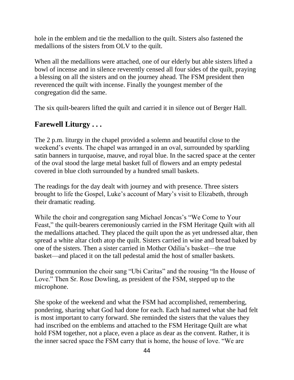hole in the emblem and tie the medallion to the quilt. Sisters also fastened the medallions of the sisters from OLV to the quilt.

When all the medallions were attached, one of our elderly but able sisters lifted a bowl of incense and in silence reverently censed all four sides of the quilt, praying a blessing on all the sisters and on the journey ahead. The FSM president then reverenced the quilt with incense. Finally the youngest member of the congregation did the same.

The six quilt-bearers lifted the quilt and carried it in silence out of Berger Hall.

#### **Farewell Liturgy . . .**

The 2 p.m. liturgy in the chapel provided a solemn and beautiful close to the weekend's events. The chapel was arranged in an oval, surrounded by sparkling satin banners in turquoise, mauve, and royal blue. In the sacred space at the center of the oval stood the large metal basket full of flowers and an empty pedestal covered in blue cloth surrounded by a hundred small baskets.

The readings for the day dealt with journey and with presence. Three sisters brought to life the Gospel, Luke's account of Mary's visit to Elizabeth, through their dramatic reading.

While the choir and congregation sang Michael Joncas's "We Come to Your Feast," the quilt-bearers ceremoniously carried in the FSM Heritage Quilt with all the medallions attached. They placed the quilt upon the as yet undressed altar, then spread a white altar cloth atop the quilt. Sisters carried in wine and bread baked by one of the sisters. Then a sister carried in Mother Odilia's basket—the true basket—and placed it on the tall pedestal amid the host of smaller baskets.

During communion the choir sang "Ubi Caritas" and the rousing "In the House of Love." Then Sr. Rose Dowling, as president of the FSM, stepped up to the microphone.

She spoke of the weekend and what the FSM had accomplished, remembering, pondering, sharing what God had done for each. Each had named what she had felt is most important to carry forward. She reminded the sisters that the values they had inscribed on the emblems and attached to the FSM Heritage Quilt are what hold FSM together, not a place, even a place as dear as the convent. Rather, it is the inner sacred space the FSM carry that is home, the house of love. "We are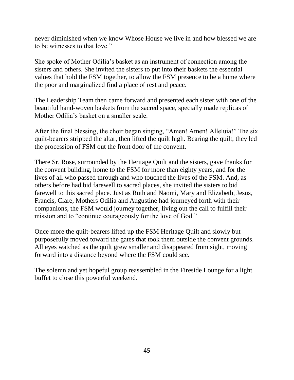never diminished when we know Whose House we live in and how blessed we are to be witnesses to that love."

She spoke of Mother Odilia's basket as an instrument of connection among the sisters and others. She invited the sisters to put into their baskets the essential values that hold the FSM together, to allow the FSM presence to be a home where the poor and marginalized find a place of rest and peace.

The Leadership Team then came forward and presented each sister with one of the beautiful hand-woven baskets from the sacred space, specially made replicas of Mother Odilia's basket on a smaller scale.

After the final blessing, the choir began singing, "Amen! Amen! Alleluia!" The six quilt-bearers stripped the altar, then lifted the quilt high. Bearing the quilt, they led the procession of FSM out the front door of the convent.

There Sr. Rose, surrounded by the Heritage Quilt and the sisters, gave thanks for the convent building, home to the FSM for more than eighty years, and for the lives of all who passed through and who touched the lives of the FSM. And, as others before had bid farewell to sacred places, she invited the sisters to bid farewell to this sacred place. Just as Ruth and Naomi, Mary and Elizabeth, Jesus, Francis, Clare, Mothers Odilia and Augustine had journeyed forth with their companions, the FSM would journey together, living out the call to fulfill their mission and to "continue courageously for the love of God."

Once more the quilt-bearers lifted up the FSM Heritage Quilt and slowly but purposefully moved toward the gates that took them outside the convent grounds. All eyes watched as the quilt grew smaller and disappeared from sight, moving forward into a distance beyond where the FSM could see.

The solemn and yet hopeful group reassembled in the Fireside Lounge for a light buffet to close this powerful weekend.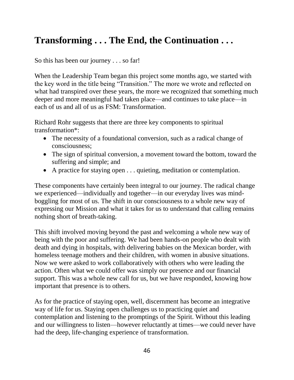# **Transforming . . . The End, the Continuation . . .**

So this has been our journey . . . so far!

When the Leadership Team began this project some months ago, we started with the key word in the title being "Transition." The more we wrote and reflected on what had transpired over these years, the more we recognized that something much deeper and more meaningful had taken place—and continues to take place—in each of us and all of us as FSM: Transformation.

Richard Rohr suggests that there are three key components to spiritual transformation\*:

- The necessity of a foundational conversion, such as a radical change of consciousness;
- The sign of spiritual conversion, a movement toward the bottom, toward the suffering and simple; and
- A practice for staying open . . . quieting, meditation or contemplation.

These components have certainly been integral to our journey. The radical change we experienced—individually and together—in our everyday lives was mindboggling for most of us. The shift in our consciousness to a whole new way of expressing our Mission and what it takes for us to understand that calling remains nothing short of breath-taking.

This shift involved moving beyond the past and welcoming a whole new way of being with the poor and suffering. We had been hands-on people who dealt with death and dying in hospitals, with delivering babies on the Mexican border, with homeless teenage mothers and their children, with women in abusive situations. Now we were asked to work collaboratively with others who were leading the action. Often what we could offer was simply our presence and our financial support. This was a whole new call for us, but we have responded, knowing how important that presence is to others.

As for the practice of staying open, well, discernment has become an integrative way of life for us. Staying open challenges us to practicing quiet and contemplation and listening to the promptings of the Spirit. Without this leading and our willingness to listen—however reluctantly at times—we could never have had the deep, life-changing experience of transformation.